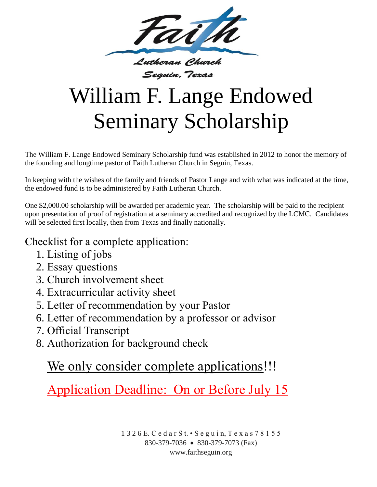

## William F. Lange Endowed Seminary Scholarship

The William F. Lange Endowed Seminary Scholarship fund was established in 2012 to honor the memory of the founding and longtime pastor of Faith Lutheran Church in Seguin, Texas.

In keeping with the wishes of the family and friends of Pastor Lange and with what was indicated at the time, the endowed fund is to be administered by Faith Lutheran Church.

One \$2,000.00 scholarship will be awarded per academic year. The scholarship will be paid to the recipient upon presentation of proof of registration at a seminary accredited and recognized by the LCMC. Candidates will be selected first locally, then from Texas and finally nationally.

## Checklist for a complete application:

- 1. Listing of jobs
- 2. Essay questions
- 3. Church involvement sheet
- 4. Extracurricular activity sheet
- 5. Letter of recommendation by your Pastor
- 6. Letter of recommendation by a professor or advisor
- 7. Official Transcript
- 8. Authorization for background check

## We only consider complete applications!!!

Application Deadline: On or Before July 15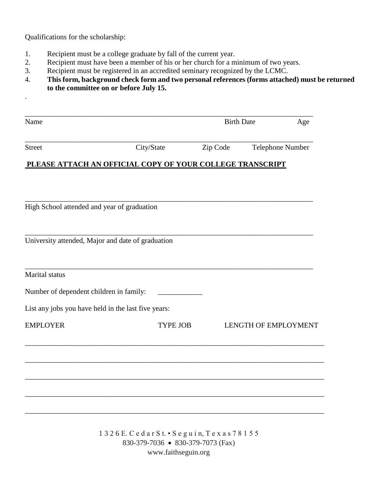Qualifications for the scholarship:

.

- 1. Recipient must be a college graduate by fall of the current year.
- 2. Recipient must have been a member of his or her church for a minimum of two years.
- 3. Recipient must be registered in an accredited seminary recognized by the LCMC.
- 4. **This form, background check form and two personal references (forms attached) must be returned to the committee on or before July 15.**

| Name                                                      |                 | <b>Birth Date</b> | Age                         |
|-----------------------------------------------------------|-----------------|-------------------|-----------------------------|
| <b>Street</b>                                             | City/State      | Zip Code          | Telephone Number            |
| PLEASE ATTACH AN OFFICIAL COPY OF YOUR COLLEGE TRANSCRIPT |                 |                   |                             |
|                                                           |                 |                   |                             |
| High School attended and year of graduation               |                 |                   |                             |
| University attended, Major and date of graduation         |                 |                   |                             |
| Marital status                                            |                 |                   |                             |
| Number of dependent children in family:                   |                 |                   |                             |
| List any jobs you have held in the last five years:       |                 |                   |                             |
| <b>EMPLOYER</b>                                           | <b>TYPE JOB</b> |                   | <b>LENGTH OF EMPLOYMENT</b> |
|                                                           |                 |                   |                             |
|                                                           |                 |                   |                             |
|                                                           |                 |                   |                             |
|                                                           |                 |                   |                             |
|                                                           |                 |                   |                             |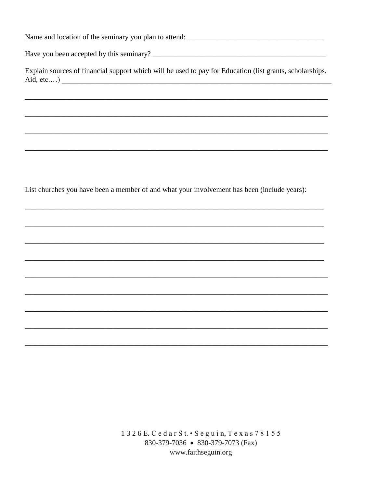Have you been accepted by this seminary?

Explain sources of financial support which will be used to pay for Education (list grants, scholarships, Aid, etc....)

List churches you have been a member of and what your involvement has been (include years):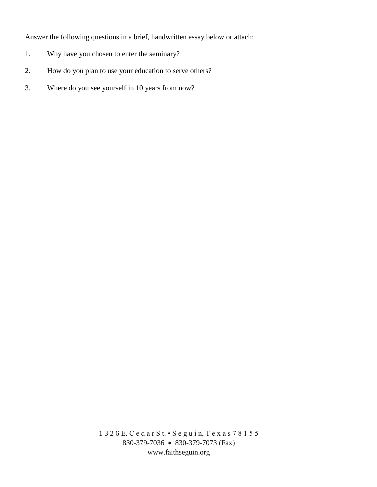Answer the following questions in a brief, handwritten essay below or attach:

- 1. Why have you chosen to enter the seminary?
- 2. How do you plan to use your education to serve others?
- 3. Where do you see yourself in 10 years from now?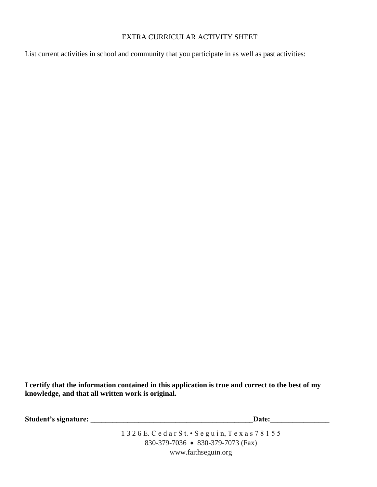## EXTRA CURRICULAR ACTIVITY SHEET

List current activities in school and community that you participate in as well as past activities:

**I certify that the information contained in this application is true and correct to the best of my knowledge, and that all written work is original.**

Student's signature: **Example 20** Student's signature: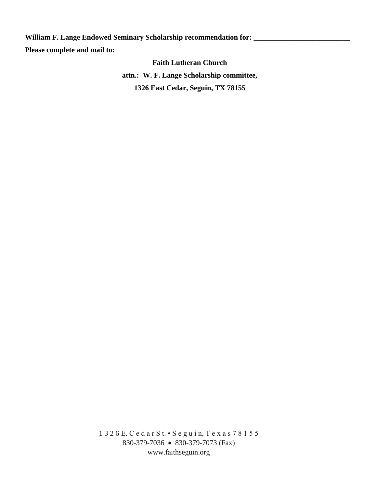William F. Lange Endowed Seminary Scholarship recommendation for: \_\_\_\_\_\_\_\_\_\_\_\_\_\_\_ **Please complete and mail to:** 

> **Faith Lutheran Church attn.: W. F. Lange Scholarship committee, 1326 East Cedar, Seguin, TX 78155**